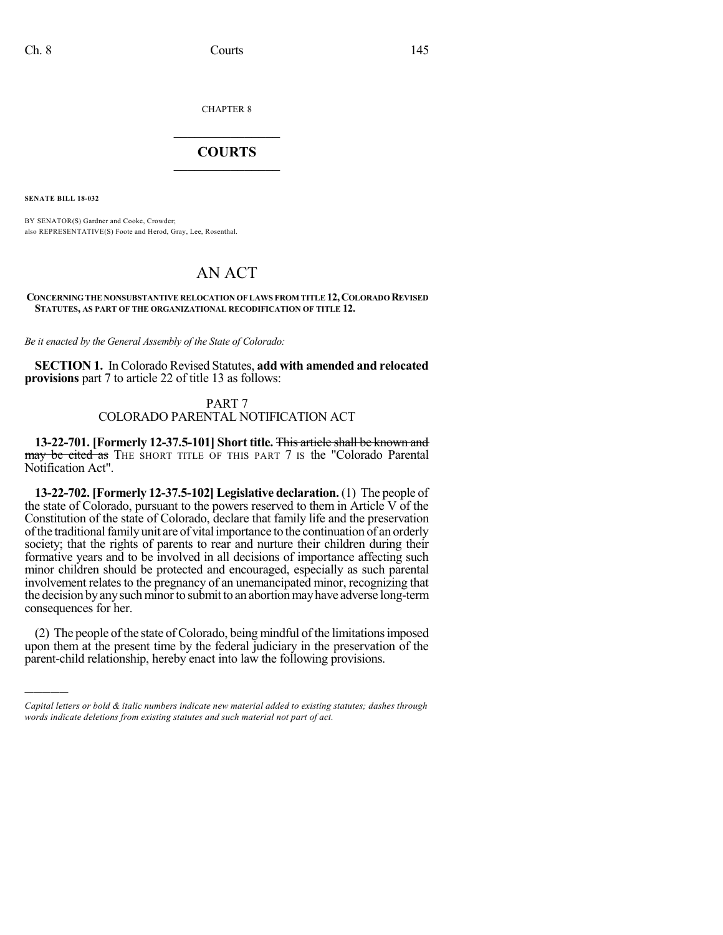CHAPTER 8

# $\overline{\phantom{a}}$  . The set of the set of the set of the set of the set of the set of the set of the set of the set of the set of the set of the set of the set of the set of the set of the set of the set of the set of the set o **COURTS**  $\_$   $\_$   $\_$   $\_$   $\_$   $\_$   $\_$   $\_$

**SENATE BILL 18-032**

)))))

BY SENATOR(S) Gardner and Cooke, Crowder; also REPRESENTATIVE(S) Foote and Herod, Gray, Lee, Rosenthal.

# AN ACT

#### **CONCERNING THE NONSUBSTANTIVE RELOCATION OF LAWS FROM TITLE 12,COLORADO REVISED STATUTES, AS PART OF THE ORGANIZATIONAL RECODIFICATION OF TITLE 12.**

*Be it enacted by the General Assembly of the State of Colorado:*

**SECTION 1.** In Colorado Revised Statutes, **add with amended and relocated provisions** part 7 to article 22 of title 13 as follows:

## PART 7 COLORADO PARENTAL NOTIFICATION ACT

**13-22-701. [Formerly 12-37.5-101] Short title.** This article shall be known and may be cited as THE SHORT TITLE OF THIS PART 7 IS the "Colorado Parental Notification Act".

**13-22-702. [Formerly 12-37.5-102] Legislative declaration.** (1) The people of the state of Colorado, pursuant to the powers reserved to them in Article V of the Constitution of the state of Colorado, declare that family life and the preservation of the traditional family unit are of vital importance to the continuation of an orderly society; that the rights of parents to rear and nurture their children during their formative years and to be involved in all decisions of importance affecting such minor children should be protected and encouraged, especially as such parental involvement relates to the pregnancy of an unemancipated minor, recognizing that the decision by any such minor to submit to an abortion may have adverse long-term consequences for her.

(2) The people of the state of Colorado, being mindful of the limitations imposed upon them at the present time by the federal judiciary in the preservation of the parent-child relationship, hereby enact into law the following provisions.

*Capital letters or bold & italic numbers indicate new material added to existing statutes; dashes through words indicate deletions from existing statutes and such material not part of act.*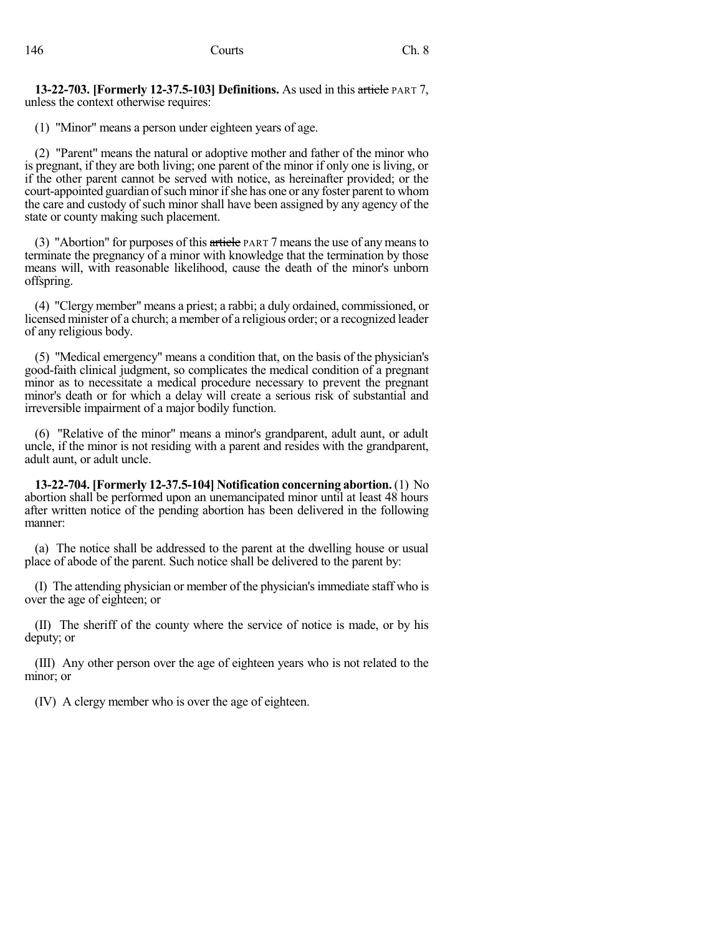**13-22-703. [Formerly 12-37.5-103] Definitions.** As used in this article PART 7, unless the context otherwise requires:

(1) "Minor" means a person under eighteen years of age.

(2) "Parent" means the natural or adoptive mother and father of the minor who is pregnant, if they are both living; one parent of the minor if only one is living, or if the other parent cannot be served with notice, as hereinafter provided; or the court-appointed guardian of such minor if she has one or any foster parent to whom the care and custody of such minor shall have been assigned by any agency of the state or county making such placement.

(3) "Abortion" for purposes of this article PART 7 means the use of any means to terminate the pregnancy of a minor with knowledge that the termination by those means will, with reasonable likelihood, cause the death of the minor's unborn offspring.

(4) "Clergy member" means a priest; a rabbi; a duly ordained, commissioned, or licensed minister of a church; a member of a religious order; or a recognized leader of any religious body.

(5) "Medical emergency" means a condition that, on the basis of the physician's good-faith clinical judgment, so complicates the medical condition of a pregnant minor as to necessitate a medical procedure necessary to prevent the pregnant minor's death or for which a delay will create a serious risk of substantial and irreversible impairment of a major bodily function.

(6) "Relative of the minor" means a minor's grandparent, adult aunt, or adult uncle, if the minor is not residing with a parent and resides with the grandparent, adult aunt, or adult uncle.

**13-22-704. [Formerly 12-37.5-104] Notification concerning abortion.** (1) No abortion shall be performed upon an unemancipated minor until at least 48 hours after written notice of the pending abortion has been delivered in the following manner:

(a) The notice shall be addressed to the parent at the dwelling house or usual place of abode of the parent. Such notice shall be delivered to the parent by:

(I) The attending physician or member of the physician'simmediate staff who is over the age of eighteen; or

(II) The sheriff of the county where the service of notice is made, or by his deputy; or

(III) Any other person over the age of eighteen years who is not related to the minor; or

(IV) A clergy member who is over the age of eighteen.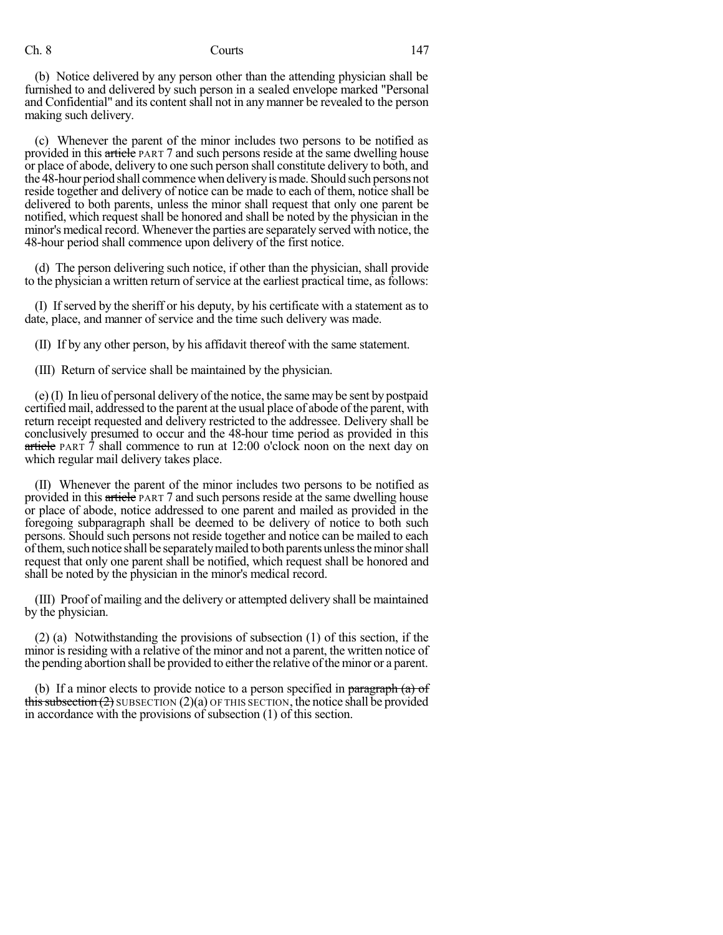(b) Notice delivered by any person other than the attending physician shall be furnished to and delivered by such person in a sealed envelope marked "Personal and Confidential" and its content shall not in any manner be revealed to the person making such delivery.

(c) Whenever the parent of the minor includes two persons to be notified as provided in this article PART 7 and such persons reside at the same dwelling house or place of abode, delivery to one such person shall constitute delivery to both, and the 48-hour period shall commencewhen deliveryismade. Should such persons not reside together and delivery of notice can be made to each of them, notice shall be delivered to both parents, unless the minor shall request that only one parent be notified, which request shall be honored and shall be noted by the physician in the minor's medical record. Wheneverthe parties are separately served with notice, the 48-hour period shall commence upon delivery of the first notice.

(d) The person delivering such notice, if other than the physician, shall provide to the physician a written return of service at the earliest practical time, as follows:

(I) If served by the sheriff or his deputy, by his certificate with a statement as to date, place, and manner of service and the time such delivery was made.

(II) If by any other person, by his affidavit thereof with the same statement.

(III) Return of service shall be maintained by the physician.

(e) (I) In lieu of personal delivery of the notice, the same may be sent by postpaid certified mail, addressed to the parent at the usual place of abode of the parent, with return receipt requested and delivery restricted to the addressee. Delivery shall be conclusively presumed to occur and the 48-hour time period as provided in this article PART  $\bar{7}$  shall commence to run at 12:00 o'clock noon on the next day on which regular mail delivery takes place.

(II) Whenever the parent of the minor includes two persons to be notified as provided in this article PART 7 and such persons reside at the same dwelling house or place of abode, notice addressed to one parent and mailed as provided in the foregoing subparagraph shall be deemed to be delivery of notice to both such persons. Should such persons not reside together and notice can be mailed to each of them, such notice shall be separately mailed to both parents unless the minor shall request that only one parent shall be notified, which request shall be honored and shall be noted by the physician in the minor's medical record.

(III) Proof of mailing and the delivery or attempted delivery shall be maintained by the physician.

(2) (a) Notwithstanding the provisions of subsection (1) of this section, if the minor is residing with a relative of the minor and not a parent, the written notice of the pending abortion shall be provided to either the relative of the minor or a parent.

(b) If a minor elects to provide notice to a person specified in paragraph  $(a)$  of this subsection  $(2)$  SUBSECTION  $(2)(a)$  OF THIS SECTION, the notice shall be provided in accordance with the provisions of subsection (1) of this section.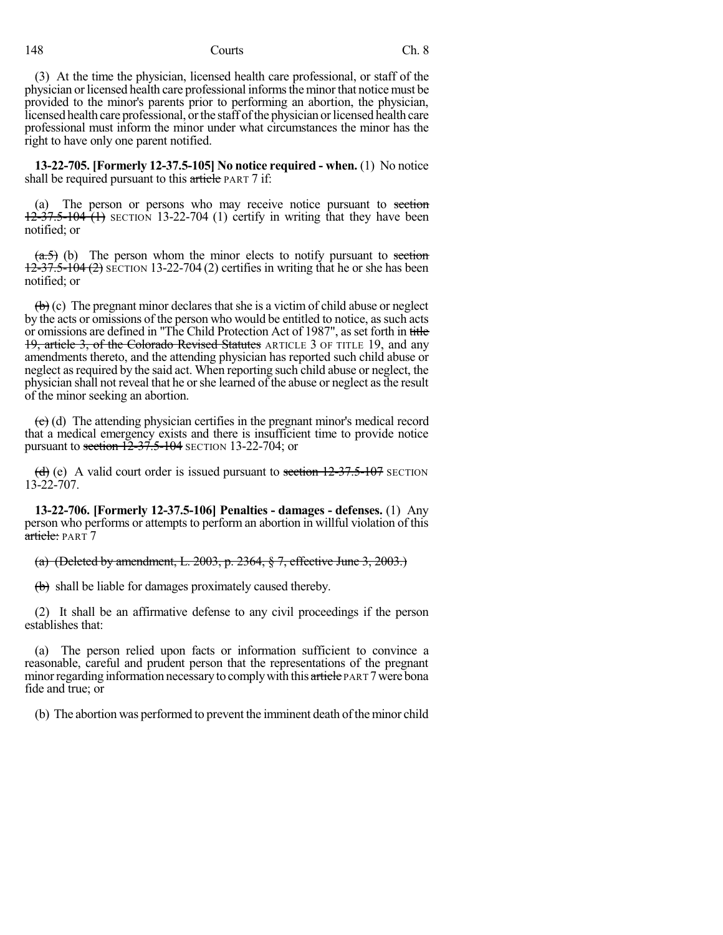148 Courts Ch. 8

(3) At the time the physician, licensed health care professional, or staff of the physician or licensed health care professional informs the minor that notice must be provided to the minor's parents prior to performing an abortion, the physician, licensed health care professional, or the staff of the physician or licensed health care professional must inform the minor under what circumstances the minor has the right to have only one parent notified.

**13-22-705. [Formerly 12-37.5-105] No notice required - when.** (1) No notice shall be required pursuant to this article PART 7 if:

(a) The person or persons who may receive notice pursuant to section  $12-37.5-104$  (1) section 13-22-704 (1) certify in writing that they have been notified; or

 $(a.5)$  (b) The person whom the minor elects to notify pursuant to section  $12-37.5-104(2)$  SECTION 13-22-704 (2) certifies in writing that he or she has been notified; or

 $\left(\mathbf{b}\right)$  (c) The pregnant minor declares that she is a victim of child abuse or neglect by the acts or omissions of the person who would be entitled to notice, as such acts or omissions are defined in "The Child Protection Act of 1987", as set forth in title 19, article 3, of the Colorado Revised Statutes ARTICLE 3 OF TITLE 19, and any amendments thereto, and the attending physician has reported such child abuse or neglect asrequired by the said act. When reporting such child abuse or neglect, the physician shall not reveal that he orshe learned of the abuse or neglect asthe result of the minor seeking an abortion.

(c) (d) The attending physician certifies in the pregnant minor's medical record that a medical emergency exists and there is insufficient time to provide notice pursuant to section  $12-37.5-104$  SECTION 13-22-704; or

(d) (e) A valid court order is issued pursuant to section  $12-37.5-107$  SECTION 13-22-707.

**13-22-706. [Formerly 12-37.5-106] Penalties - damages - defenses.** (1) Any person who performs or attempts to perform an abortion in willful violation of this article: PART 7

(a) (Deleted by amendment, L. 2003, p. 2364,  $\S$  7, effective June 3, 2003.)

(b) shall be liable for damages proximately caused thereby.

(2) It shall be an affirmative defense to any civil proceedings if the person establishes that:

(a) The person relied upon facts or information sufficient to convince a reasonable, careful and prudent person that the representations of the pregnant minor regarding information necessary to comply with this article PART 7 were bona fide and true; or

(b) The abortion was performed to prevent the imminent death ofthe minor child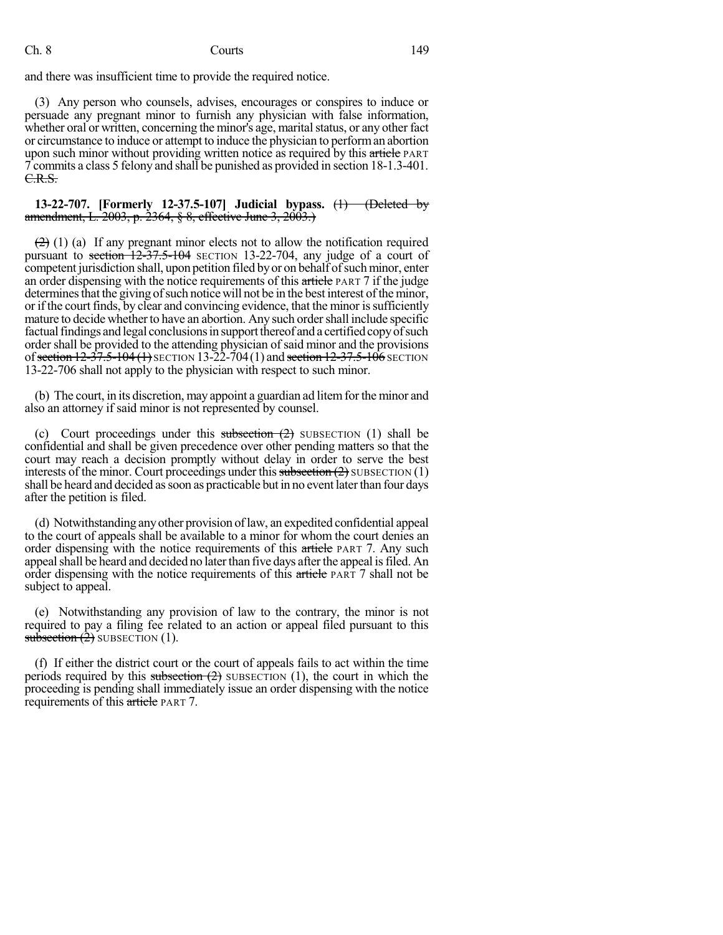and there was insufficient time to provide the required notice.

(3) Any person who counsels, advises, encourages or conspires to induce or persuade any pregnant minor to furnish any physician with false information, whether oral or written, concerning the minor's age, marital status, or any other fact or circumstance to induce or attempt to induce the physician to performan abortion upon such minor without providing written notice as required by this article PART 7 commits a class 5 felony and shall be punished as provided in section 18-1.3-401. C.R.S.

#### **13-22-707. [Formerly 12-37.5-107] Judicial bypass.** (1) (Deleted by amendment, L. 2003, p. 2364, § 8, effective June 3, 2003.)

 $(2)$  (1) (a) If any pregnant minor elects not to allow the notification required pursuant to section 12-37.5-104 SECTION 13-22-704, any judge of a court of competent jurisdiction shall, upon petition filed by or on behalf of such minor, enter an order dispensing with the notice requirements of this article PART 7 if the judge determines that the giving of such notice will not be in the best interest of the minor, or if the court finds, by clear and convincing evidence, that the minor is sufficiently mature to decide whether to have an abortion. Any such order shall include specific factual findings and legal conclusions in support thereof and a certified copy of such order shall be provided to the attending physician of said minor and the provisions of section  $12-37.5-104(1)$  SECTION 13-22-704(1) and section  $12-37.5-106$  SECTION 13-22-706 shall not apply to the physician with respect to such minor.

(b) The court, in its discretion, may appoint a guardian ad litemfor the minor and also an attorney if said minor is not represented by counsel.

(c) Court proceedings under this subsection  $(2)$  SUBSECTION  $(1)$  shall be confidential and shall be given precedence over other pending matters so that the court may reach a decision promptly without delay in order to serve the best interests of the minor. Court proceedings under this subsection  $(2)$  SUBSECTION  $(1)$ shall be heard and decided as soon as practicable but in no event later than four days after the petition is filed.

(d) Notwithstanding anyother provision oflaw, an expedited confidential appeal to the court of appeals shall be available to a minor for whom the court denies an order dispensing with the notice requirements of this article PART 7. Any such appeal shall be heard and decided no later than five days after the appeal is filed. An order dispensing with the notice requirements of this article PART 7 shall not be subject to appeal.

(e) Notwithstanding any provision of law to the contrary, the minor is not required to pay a filing fee related to an action or appeal filed pursuant to this subsection  $(2)$  SUBSECTION  $(1)$ .

(f) If either the district court or the court of appeals fails to act within the time periods required by this subsection  $(2)$  SUBSECTION  $(1)$ , the court in which the proceeding is pending shall immediately issue an order dispensing with the notice requirements of this article PART 7.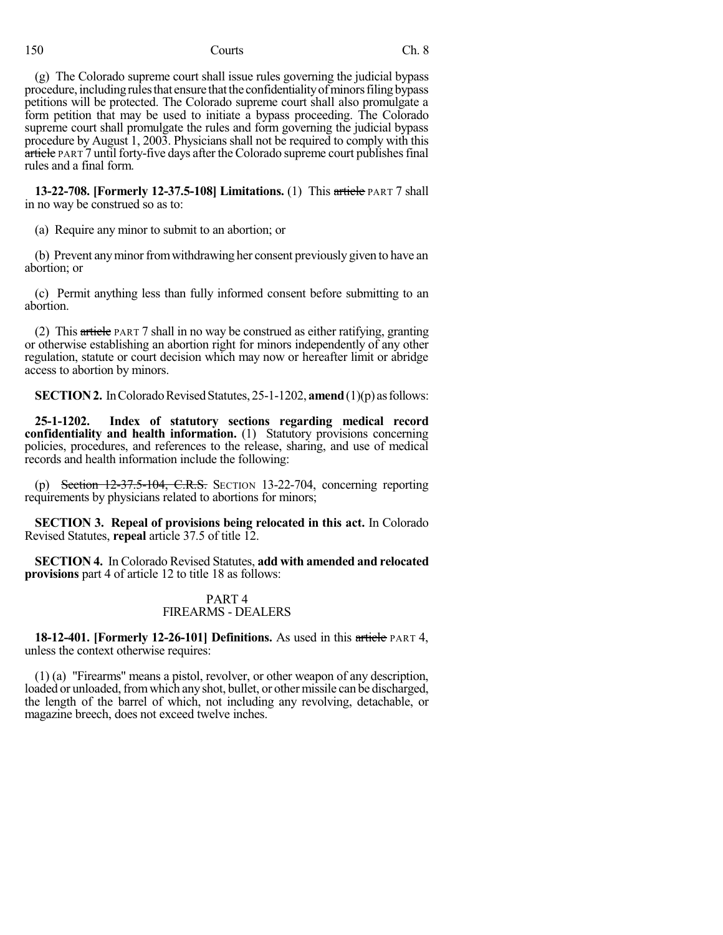#### 150 Courts Courts Ch. 8

(g) The Colorado supreme court shall issue rules governing the judicial bypass procedure, including rules that ensure that the confidentiality of minors filing bypass petitions will be protected. The Colorado supreme court shall also promulgate a form petition that may be used to initiate a bypass proceeding. The Colorado supreme court shall promulgate the rules and form governing the judicial bypass procedure by August 1, 2003. Physicians shall not be required to comply with this article PART 7 until forty-five days after the Colorado supreme court publishes final rules and a final form.

**13-22-708. [Formerly 12-37.5-108] Limitations.** (1) This article PART 7 shall in no way be construed so as to:

(a) Require any minor to submit to an abortion; or

(b) Prevent anyminorfromwithdrawing her consent previously given to have an abortion; or

(c) Permit anything less than fully informed consent before submitting to an abortion.

(2) This article PART 7 shall in no way be construed as either ratifying, granting or otherwise establishing an abortion right for minors independently of any other regulation, statute or court decision which may now or hereafter limit or abridge access to abortion by minors.

**SECTION 2.** In Colorado Revised Statutes, 25-1-1202, **amend** (1)(p) as follows:

**25-1-1202. Index of statutory sections regarding medical record confidentiality and health information.** (1) Statutory provisions concerning policies, procedures, and references to the release, sharing, and use of medical records and health information include the following:

(p) Section  $12-37.5-104$ , C.R.S. SECTION 13-22-704, concerning reporting requirements by physicians related to abortions for minors;

**SECTION 3. Repeal of provisions being relocated in this act.** In Colorado Revised Statutes, **repeal** article 37.5 of title 12.

**SECTION 4.** In Colorado Revised Statutes, **add with amended and relocated provisions** part 4 of article 12 to title 18 as follows:

#### PART 4 FIREARMS - DEALERS

**18-12-401. [Formerly 12-26-101] Definitions.** As used in this article PART 4, unless the context otherwise requires:

(1) (a) "Firearms" means a pistol, revolver, or other weapon of any description, loaded or unloaded, from which any shot, bullet, or other missile can be discharged, the length of the barrel of which, not including any revolving, detachable, or magazine breech, does not exceed twelve inches.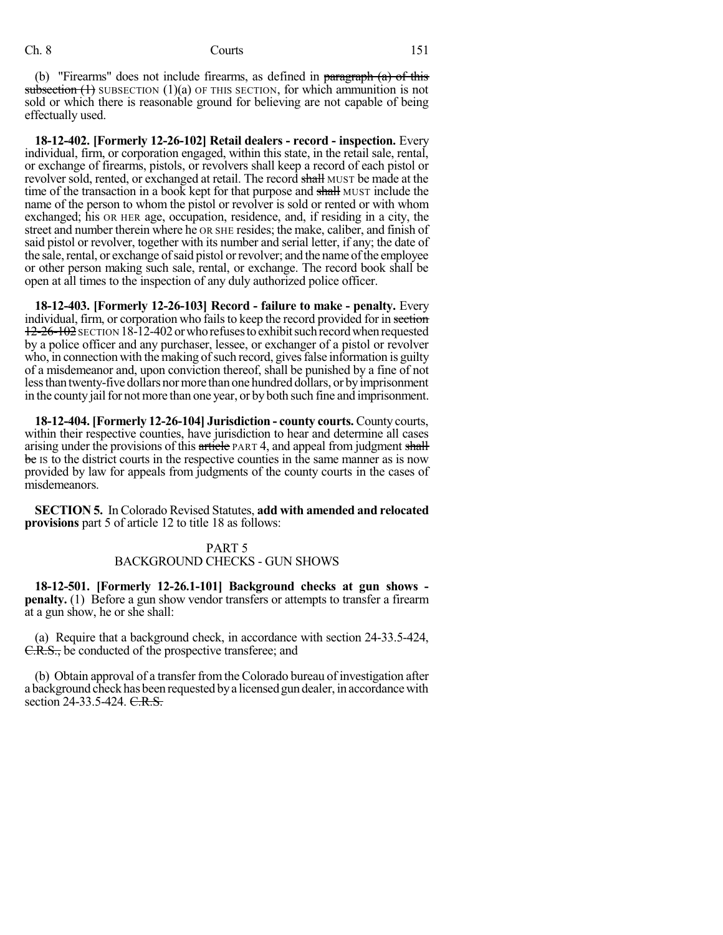(b) "Firearms" does not include firearms, as defined in paragraph (a) of this subsection  $(1)$  SUBSECTION  $(1)(a)$  OF THIS SECTION, for which ammunition is not sold or which there is reasonable ground for believing are not capable of being effectually used.

**18-12-402. [Formerly 12-26-102] Retail dealers - record - inspection.** Every individual, firm, or corporation engaged, within this state, in the retail sale, rental, or exchange of firearms, pistols, or revolvers shall keep a record of each pistol or revolver sold, rented, or exchanged at retail. The record shall MUST be made at the time of the transaction in a book kept for that purpose and shall MUST include the name of the person to whom the pistol or revolver is sold or rented or with whom exchanged; his OR HER age, occupation, residence, and, if residing in a city, the street and number therein where he OR SHE resides; the make, caliber, and finish of said pistol or revolver, together with its number and serial letter, if any; the date of the sale, rental, or exchange of said pistol or revolver; and the name of the employee or other person making such sale, rental, or exchange. The record book shall be open at all times to the inspection of any duly authorized police officer.

**18-12-403. [Formerly 12-26-103] Record - failure to make - penalty.** Every individual, firm, or corporation who fails to keep the record provided for in section 12-26-102 SECTION 18-12-402 or who refuses to exhibit such record when requested by a police officer and any purchaser, lessee, or exchanger of a pistol or revolver who, in connection with the making of such record, gives false information is guilty of a misdemeanor and, upon conviction thereof, shall be punished by a fine of not lessthan twenty-five dollars normore than one hundred dollars, or byimprisonment in the county jail for not more than one year, or by both such fine and imprisonment.

**18-12-404. [Formerly 12-26-104] Jurisdiction - county courts.** County courts, within their respective counties, have jurisdiction to hear and determine all cases arising under the provisions of this article PART 4, and appeal from judgment shall be Is to the district courts in the respective counties in the same manner as is now provided by law for appeals from judgments of the county courts in the cases of misdemeanors.

**SECTION 5.** In Colorado Revised Statutes, **add with amended and relocated provisions** part 5 of article 12 to title 18 as follows:

#### PART 5 BACKGROUND CHECKS - GUN SHOWS

**18-12-501. [Formerly 12-26.1-101] Background checks at gun shows penalty.** (1) Before a gun show vendor transfers or attempts to transfer a firearm at a gun show, he or she shall:

(a) Require that a background check, in accordance with section 24-33.5-424, C.R.S., be conducted of the prospective transferee; and

(b) Obtain approval of a transfer fromthe Colorado bureau of investigation after a background check has been requested bya licensedgundealer, in accordancewith section 24-33.5-424. C.R.S.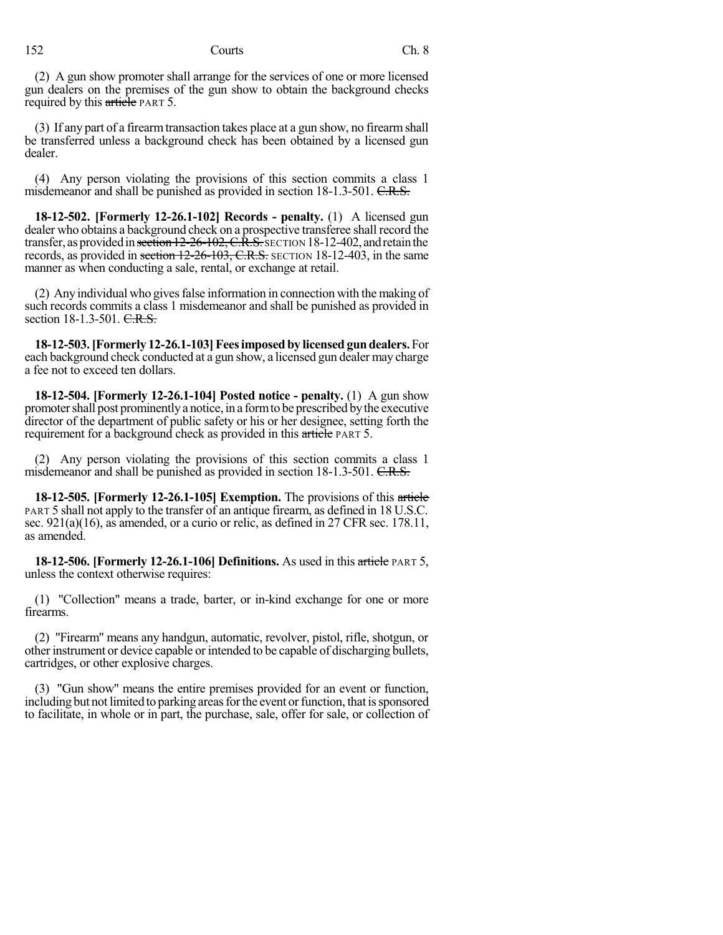(2) A gun show promoter shall arrange for the services of one or more licensed gun dealers on the premises of the gun show to obtain the background checks required by this article PART 5.

(3) If any part of a firearmtransaction takes place at a gun show, no firearmshall be transferred unless a background check has been obtained by a licensed gun dealer.

(4) Any person violating the provisions of this section commits a class 1 misdemeanor and shall be punished as provided in section 18-1.3-501. C.R.S.

**18-12-502. [Formerly 12-26.1-102] Records - penalty.** (1) A licensed gun dealer who obtains a background check on a prospective transferee shall record the transfer, as provided in section 12-26-102, C.R.S. SECTION 18-12-402, and retain the records, as provided in section 12-26-103, C.R.S. SECTION 18-12-403, in the same manner as when conducting a sale, rental, or exchange at retail.

(2) Any individual who givesfalse information in connection with the making of such records commits a class 1 misdemeanor and shall be punished as provided in section 18-1.3-501. C.R.S.

**18-12-503.[Formerly 12-26.1-103]Feesimposed by licensed gundealers.** For each background check conducted at a gun show, a licensed gun dealer may charge a fee not to exceed ten dollars.

**18-12-504. [Formerly 12-26.1-104] Posted notice - penalty.** (1) A gun show promotershall post prominentlya notice, in a formto be prescribed bythe executive director of the department of public safety or his or her designee, setting forth the requirement for a background check as provided in this article PART 5.

(2) Any person violating the provisions of this section commits a class 1 misdemeanor and shall be punished as provided in section 18-1.3-501. C.R.S.

**18-12-505. [Formerly 12-26.1-105] Exemption.** The provisions of this article PART 5 shall not apply to the transfer of an antique firearm, as defined in 18 U.S.C. sec. 921(a)(16), as amended, or a curio or relic, as defined in 27 CFR sec. 178.11, as amended.

**18-12-506. [Formerly 12-26.1-106] Definitions.** As used in this article PART 5, unless the context otherwise requires:

(1) "Collection" means a trade, barter, or in-kind exchange for one or more firearms.

(2) "Firearm" means any handgun, automatic, revolver, pistol, rifle, shotgun, or other instrument or device capable or intended to be capable of discharging bullets, cartridges, or other explosive charges.

(3) "Gun show" means the entire premises provided for an event or function, including but not limited to parking areas for the event or function, that is sponsored to facilitate, in whole or in part, the purchase, sale, offer for sale, or collection of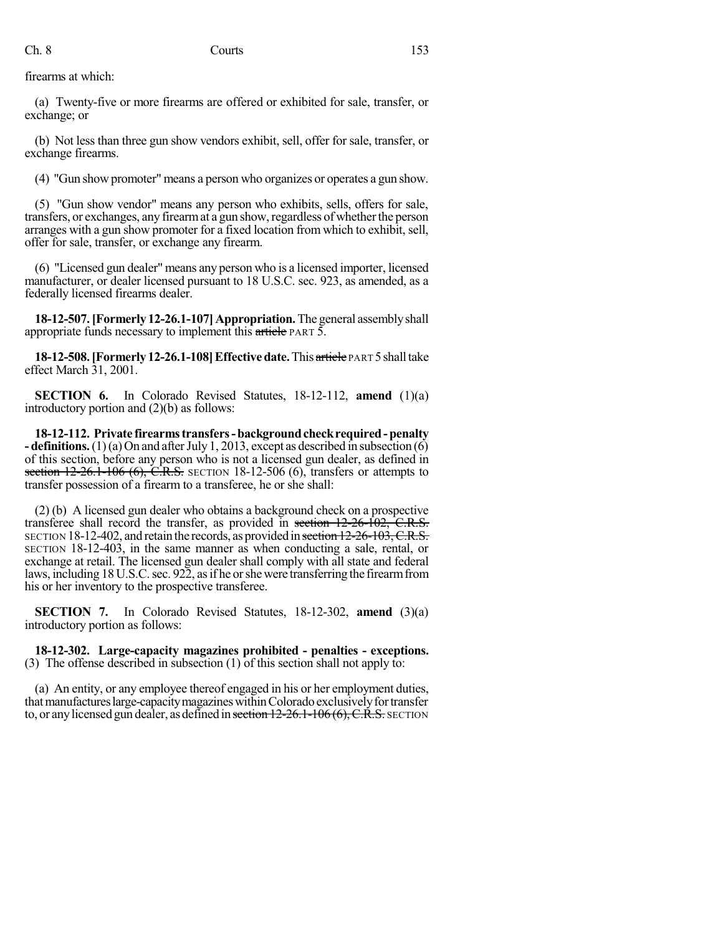firearms at which:

(a) Twenty-five or more firearms are offered or exhibited for sale, transfer, or exchange; or

(b) Not less than three gun show vendors exhibit, sell, offer for sale, transfer, or exchange firearms.

(4) "Gun showpromoter" means a person who organizes or operates a gun show.

(5) "Gun show vendor" means any person who exhibits, sells, offers for sale, transfers, or exchanges, any firearm at a gun show, regardless of whether the person arranges with a gun show promoter for a fixed location from which to exhibit, sell, offer for sale, transfer, or exchange any firearm.

(6) "Licensed gun dealer" means any person who is a licensed importer, licensed manufacturer, or dealer licensed pursuant to 18 U.S.C. sec. 923, as amended, as a federally licensed firearms dealer.

**18-12-507.[Formerly 12-26.1-107]Appropriation.**The general assemblyshall appropriate funds necessary to implement this article PART 5.

**18-12-508.[Formerly12-26.1-108]Effectivedate.**This article PART 5shalltake effect March 31, 2001.

**SECTION 6.** In Colorado Revised Statutes, 18-12-112, **amend** (1)(a) introductory portion and (2)(b) as follows:

**18-12-112. Private firearmstransfers-backgroundcheckrequired-penalty - definitions.** (1)(a) On and after July 1, 2013, except as described in subsection (6) of this section, before any person who is not a licensed gun dealer, as defined in section  $12-26.1-106$  (6), C.R.S. SECTION 18-12-506 (6), transfers or attempts to transfer possession of a firearm to a transferee, he or she shall:

(2) (b) A licensed gun dealer who obtains a background check on a prospective transferee shall record the transfer, as provided in section 12-26-102, C.R.S. SECTION 18-12-402, and retain the records, as provided in section  $12$ -26-103, C.R.S. SECTION 18-12-403, in the same manner as when conducting a sale, rental, or exchange at retail. The licensed gun dealer shall comply with all state and federal laws, including 18 U.S.C. sec. 922, as if he or she were transferring the firearm from his or her inventory to the prospective transferee.

**SECTION 7.** In Colorado Revised Statutes, 18-12-302, **amend** (3)(a) introductory portion as follows:

**18-12-302. Large-capacity magazines prohibited - penalties - exceptions.** (3) The offense described in subsection (1) of this section shall not apply to:

(a) An entity, or any employee thereof engaged in his or her employment duties, that manufactures large-capacity magazines within Colorado exclusively for transfer to, or any licensed gun dealer, as defined in section  $12-26.1-106(6)$ , C.R.S. SECTION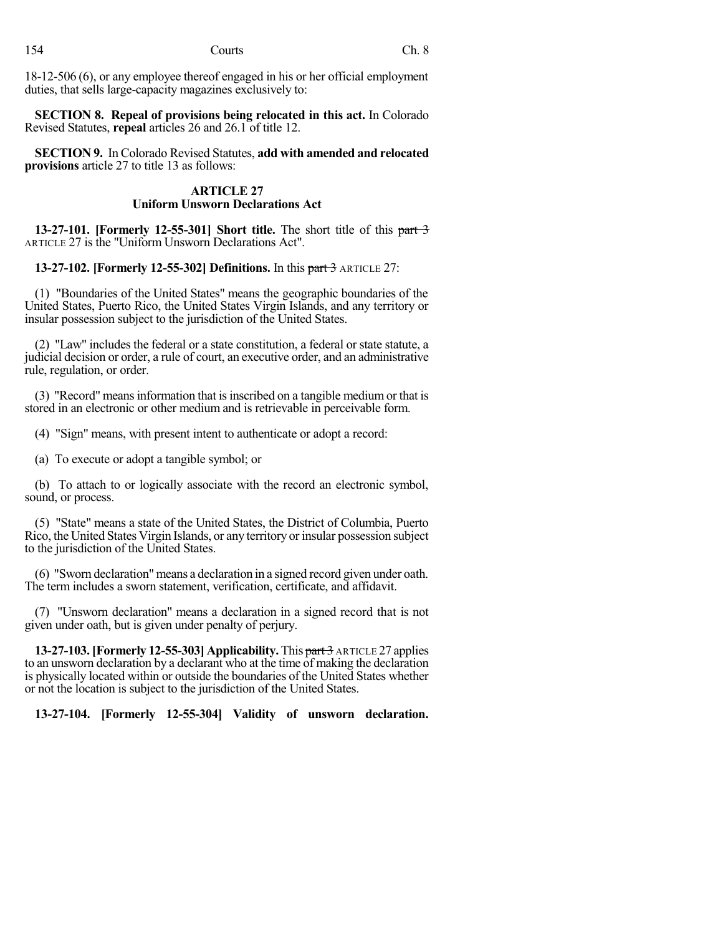18-12-506 (6), or any employee thereof engaged in his or her official employment duties, that sells large-capacity magazines exclusively to:

**SECTION 8. Repeal of provisions being relocated in this act.** In Colorado Revised Statutes, **repeal** articles 26 and 26.1 of title 12.

**SECTION 9.** In Colorado Revised Statutes, **add with amended and relocated provisions** article 27 to title 13 as follows:

#### **ARTICLE 27 Uniform Unsworn Declarations Act**

**13-27-101. [Formerly 12-55-301] Short title.** The short title of this part 3 ARTICLE 27 is the "Uniform Unsworn Declarations Act".

**13-27-102. [Formerly 12-55-302] Definitions.** In this part 3 ARTICLE 27:

(1) "Boundaries of the United States" means the geographic boundaries of the United States, Puerto Rico, the United States Virgin Islands, and any territory or insular possession subject to the jurisdiction of the United States.

(2) "Law" includes the federal or a state constitution, a federal or state statute, a judicial decision or order, a rule of court, an executive order, and an administrative rule, regulation, or order.

(3) "Record" meansinformation that isinscribed on a tangible medium or that is stored in an electronic or other medium and is retrievable in perceivable form.

(4) "Sign" means, with present intent to authenticate or adopt a record:

(a) To execute or adopt a tangible symbol; or

(b) To attach to or logically associate with the record an electronic symbol, sound, or process.

(5) "State" means a state of the United States, the District of Columbia, Puerto Rico, the United States Virgin Islands, or any territory or insular possession subject to the jurisdiction of the United States.

(6) "Sworn declaration" means a declaration in a signed record given under oath. The term includes a sworn statement, verification, certificate, and affidavit.

(7) "Unsworn declaration" means a declaration in a signed record that is not given under oath, but is given under penalty of perjury.

**13-27-103.[Formerly 12-55-303] Applicability.** This part 3 ARTICLE 27 applies to an unsworn declaration by a declarant who at the time of making the declaration is physically located within or outside the boundaries of the United States whether or not the location is subject to the jurisdiction of the United States.

**13-27-104. [Formerly 12-55-304] Validity of unsworn declaration.**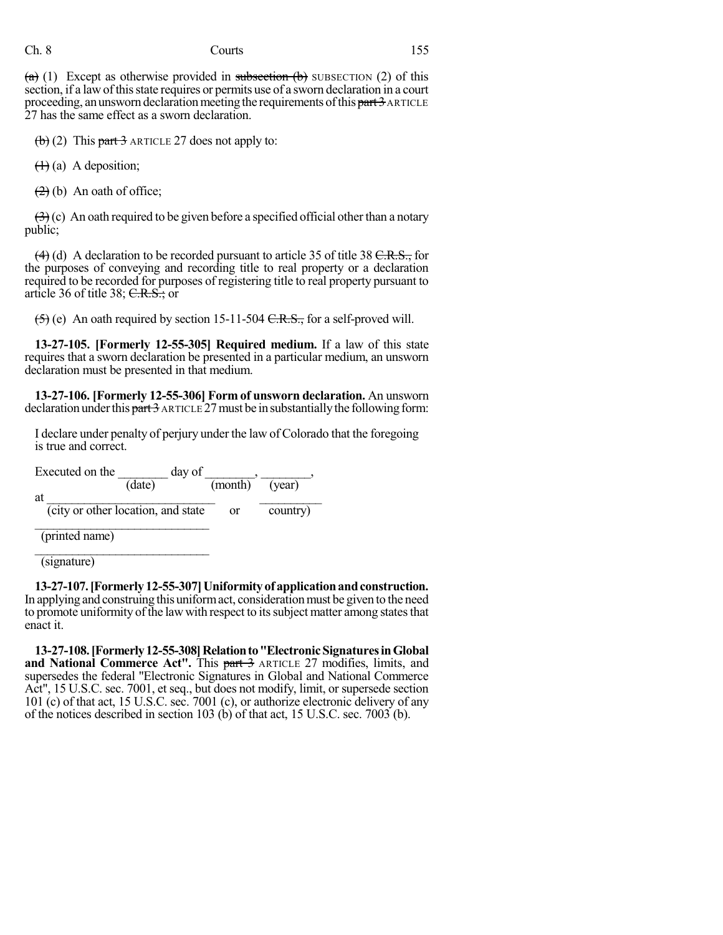$(a)$  (1) Except as otherwise provided in subsection  $(b)$  SUBSECTION (2) of this section, if a law of this state requires or permits use of a sworn declaration in a court proceeding, an unsworn declaration meeting the requirements of this  $part 3$  ARTICLE 27 has the same effect as a sworn declaration.

 $\left(\frac{b}{c}\right)$  (2) This part 3 ARTICLE 27 does not apply to:

 $(1)$  (a) A deposition;

 $(2)$  (b) An oath of office;

 $(3)$  (c) An oath required to be given before a specified official other than a notary public;

 $(4)$  (d) A declaration to be recorded pursuant to article 35 of title 38 C.R.S., for the purposes of conveying and recording title to real property or a declaration required to be recorded for purposes of registering title to real property pursuant to article 36 of title 38; C.R.S.; or

 $(5)$  (e) An oath required by section 15-11-504 C.R.S., for a self-proved will.

**13-27-105. [Formerly 12-55-305] Required medium.** If a law of this state requires that a sworn declaration be presented in a particular medium, an unsworn declaration must be presented in that medium.

**13-27-106. [Formerly 12-55-306] Form of unsworn declaration.** An unsworn declaration under this  $part 3$  ARTICLE 27 must be in substantially the following form:

I declare under penalty of perjury under the law of Colorado that the foregoing is true and correct.

| Executed on the | day of                             |           |          |
|-----------------|------------------------------------|-----------|----------|
|                 | (date)                             | (month)   | (year)   |
| at              |                                    |           |          |
|                 | (city or other location, and state | <b>or</b> | country) |
|                 |                                    |           |          |
| (printed name)  |                                    |           |          |
|                 |                                    |           |          |
| signature)      |                                    |           |          |

**13-27-107.[Formerly12-55-307]Uniformityof applicationandconstruction.** In applying and construing this uniformact, consideration must be given to the need to promote uniformity of the law with respect to its subject matter among states that enact it.

**13-27-108.[Formerly12-55-308]Relationto"ElectronicSignaturesinGlobal and National Commerce Act".** This part 3 ARTICLE 27 modifies, limits, and supersedes the federal "Electronic Signatures in Global and National Commerce Act", 15 U.S.C. sec. 7001, et seq., but does not modify, limit, or supersede section 101 (c) of that act, 15 U.S.C. sec. 7001 (c), or authorize electronic delivery of any of the notices described in section 103 (b) of that act, 15 U.S.C. sec. 7003 (b).